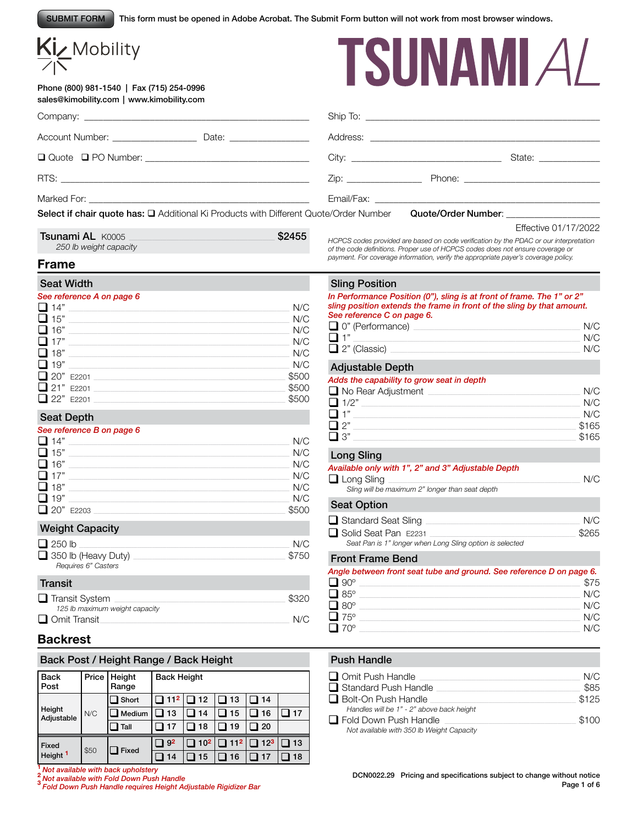This form must be opened in Adobe Acrobat. The Submit Form button will not work from most browser windows. SUBMIT FORM

# Kiz Mobility

Phone (800) 981-1540 | Fax (715) 254-0996 sales@kimobility.com | www.kimobility.com



|                                                                                               |       |  | State: _____________ |
|-----------------------------------------------------------------------------------------------|-------|--|----------------------|
|                                                                                               |       |  |                      |
|                                                                                               |       |  |                      |
| Select if chair quote has: $\square$ Additional Ki Products with Different Quote/Order Number |       |  |                      |
| $T_{\text{a}1}$ $\text{a}$ $\text{b}$ $\text{c}$ $\text{b}$                                   | 00155 |  | Effective 01/17/2022 |

Tsunami AL K0005 \_\_\_\_\_\_\_\_\_\_\_\_\_\_\_\_\_\_\_\_\_\_\_\_\_\_\_\_\_\_\_\_\_\_\_\_\_\_\_\_\_\_\_\_\_\_\_\_\_\_\_\_\_\_\_\_\_\_\_\_\_\_\_\_\_\_\_\_\_\_ \$2455 *250 lb weight capacity*

*HCPCS codes provided are based on code verification by the PDAC or our interpretation of the code definitions. Proper use of HCPCS codes does not ensure coverage or*  **Frame Frame** *payment. For coverage information, verify the appropriate payer's coverage policy.* 

#### Seat Width

#### *See reference A on page 6*

| $\Box$ 14" |             | N/C   |
|------------|-------------|-------|
| $\Box$ 15" |             | N/C   |
| $\Box$ 16" |             | N/C   |
| $\Box$ 17" |             | N/C   |
| $\Box$ 18" |             | N/C   |
| $\Box$ 19" |             | N/C   |
|            | 20" E2201   | \$500 |
|            | □ 21" E2201 | \$500 |
|            | □ 22" E2201 | \$500 |

## Seat Depth

#### *See reference B on page 6*

| $\Box$ 14" | N/C   |
|------------|-------|
| $\Box$ 15" | N/C   |
| $\Box$ 16" | N/C   |
| $\Box$ 17" | N/C   |
| $\Box$ 18" | N/C   |
| $\Box$ 19" | N/C   |
| 20" E2203  | \$500 |

### Weight Capacity

| N/C   |
|-------|
| \$750 |
|       |

| Transit                        |       |
|--------------------------------|-------|
| $\Box$ Transit System          | \$320 |
| 125 lb maximum weight capacity |       |
| $\Box$ Omit Transit            | N/C   |

# **Backrest**

### Back Post / Height Range / Back Height

| <b>Back</b><br>Post  |      | Price   Height<br>Range | <b>Back Height</b> |                        |           |                            |           |
|----------------------|------|-------------------------|--------------------|------------------------|-----------|----------------------------|-----------|
|                      |      | $\Box$ Short            | ] 112              | $\Box$ 12              | $\Box$ 13 | 114                        |           |
| Height<br>Adjustable | N/C  | $\Box$ Medium           | 13                 | 14                     | 15        | 16                         | l 17      |
|                      |      | Tall                    | 17                 | 18                     | 19        | l 20                       |           |
| Fixed                |      |                         | 9 <sup>2</sup>     | $\Box$ 10 <sup>2</sup> |           | $\boxed{11^2}\boxed{12^3}$ | $\Box$ 13 |
| Height <sup>1</sup>  | \$50 | Fixed                   | 14                 | 15                     | 16        | 17                         | 18        |

**<sup>1</sup>***Not available with back upholstery* **<sup>2</sup>** *Not available with Fold Down Push Handle* **<sup>3</sup>** *Fold Down Push Handle requires Height Adjustable Rigidizer Bar*

## Sling Position

*In Performance Position (0"), sling is at front of frame. The 1" or 2" sling position extends the frame in front of the sling by that amount. See reference C on page 6.*

| $\frac{1}{2}$           |     |
|-------------------------|-----|
| $\Box$ 0" (Performance) | N/C |
| □ 1"                    | N/C |
| $\Box$ 2" (Classic)     | N/C |

### Adjustable Depth

#### *Adds the capability to grow seat in depth*

| $\Box$ No Rear Adjustment | N/C   |
|---------------------------|-------|
| $\Box$ 1/2"               | N/C   |
| $\Box$ 1"                 | N/C   |
| $\Box$ 2"                 | \$165 |
| $\square$ 3"              | \$165 |
|                           |       |

### Long Sling

# *Available only with 1", 2" and 3" Adjustable Depth* q Long Sling \_\_\_\_\_\_\_\_\_\_\_\_\_\_\_\_\_\_\_\_\_\_\_\_\_\_\_\_\_\_\_\_\_\_\_\_\_\_\_\_\_\_\_\_\_\_\_\_\_\_\_\_\_\_\_\_\_\_\_\_\_\_\_\_\_\_\_\_\_\_\_\_\_\_\_\_\_\_\_\_\_\_\_\_\_\_\_\_\_\_\_\_ N/C *Sling will be maximum 2" longer than seat depth* Seat Option

|                                                          | N/C |
|----------------------------------------------------------|-----|
| □ Solid Seat Pan E2231<br>\$265                          |     |
| Seat Pan is 1" longer when Long Sling option is selected |     |

#### Front Frame Bend

| Angle between front seat tube and ground. See reference D on page 6. |      |
|----------------------------------------------------------------------|------|
| $\Box$ 90°                                                           | \$75 |
| $\Box$ 85°                                                           | N/C  |
| $\Box$ 80 $^{\circ}$                                                 | N/C  |
| $\Box$ 75°                                                           | N/C  |
| $\Box$ 70°                                                           | N/C  |

### Push Handle

| $\Box$ Omit Push Handle                   | N/C   |
|-------------------------------------------|-------|
| $\Box$ Standard Push Handle               | \$85  |
| Bolt-On Push Handle                       | \$125 |
| Handles will be 1" - 2" above back height |       |
| $\Box$ Fold Down Push Handle              | \$100 |
| Not available with 350 lb Weight Capacity |       |

DCN0022.29 Pricing and specifications subject to change without notice Page 1 of 6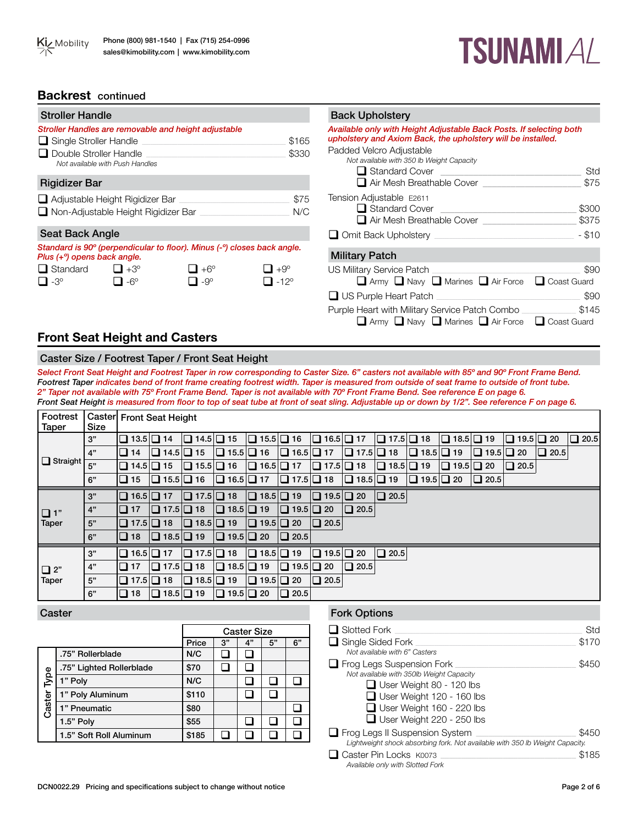# **TSUNAMIAL**

# **Backrest** continued

| <b>Stroller Handle</b>                                                |                                                                                         |                                |                                    | <b>Back Upholstery</b>                                                                                                                                                                                                         |                |
|-----------------------------------------------------------------------|-----------------------------------------------------------------------------------------|--------------------------------|------------------------------------|--------------------------------------------------------------------------------------------------------------------------------------------------------------------------------------------------------------------------------|----------------|
| $\Box$ Single Stroller Handle $\Box$<br>$\Box$ Double Stroller Handle | Stroller Handles are removable and height adjustable<br>Not available with Push Handles |                                | \$165<br>\$330                     | Available only with Height Adjustable Back Posts. If selecting both<br>upholstery and Axiom Back, the upholstery will be installed.<br>Padded Velcro Adjustable<br>Not available with 350 lb Weight Capacity<br>Standard Cover | Std            |
| <b>Rigidizer Bar</b>                                                  |                                                                                         |                                |                                    | Air Mesh Breathable Cover                                                                                                                                                                                                      | \$75           |
|                                                                       | Adjustable Height Rigidizer Bar<br>□ Non-Adjustable Height Rigidizer Bar                |                                | \$75<br>N/C                        | Tension Adjustable E2611<br>Standard Cover<br>$\Box$ Air Mesh Breathable Cover                                                                                                                                                 | \$300<br>\$375 |
| <b>Seat Back Angle</b>                                                |                                                                                         |                                |                                    | Omit Back Upholstery                                                                                                                                                                                                           | $-$ \$10       |
| Plus (+ <sup>o</sup> ) opens back angle.                              | Standard is 90° (perpendicular to floor). Minus (-°) closes back angle.                 |                                |                                    | <b>Military Patch</b>                                                                                                                                                                                                          |                |
| $\Box$ Standard<br>$\Box$ -3°                                         | $\Box$ +3°<br>$\Box$ -6°                                                                | $\Box + 6^\circ$<br>$\Box$ -9° | $\Box$ +9°<br>$\Box$ -12 $\degree$ | US Military Service Patch _<br>Army Navy Narines Air Force C Coast Guard                                                                                                                                                       | \$90           |
|                                                                       |                                                                                         |                                |                                    | $\Box$ US Purple Heart Patch                                                                                                                                                                                                   | \$90           |
|                                                                       |                                                                                         |                                |                                    | Purple Heart with Military Service Patch Combo<br>Army Navy Narines Air Force C Coast Guard                                                                                                                                    | \$145          |

# **Front Seat Height and Casters**

# Caster Size / Footrest Taper / Front Seat Height

*Select Front Seat Height and Footrest Taper in row corresponding to Caster Size. 6" casters not available with 85º and 90º Front Frame Bend. Footrest Taper indicates bend of front frame creating footrest width. Taper is measured from outside of seat frame to outside of front tube. 2" Taper not available with 75º Front Frame Bend. Taper is not available with 70º Front Frame Bend. See reference E on page 6.* Front Seat Height is measured from floor to top of seat tube at front of seat sling. Adjustable up or down by 1/2". See reference F on page 6.

| Footrest<br>Taper | <b>Size</b> | Caster Front Seat Height |                       |                                                                                         |                       |                       |                       |                       |                       |                       |                       |                                    |                       |                                     |             |             |
|-------------------|-------------|--------------------------|-----------------------|-----------------------------------------------------------------------------------------|-----------------------|-----------------------|-----------------------|-----------------------|-----------------------|-----------------------|-----------------------|------------------------------------|-----------------------|-------------------------------------|-------------|-------------|
|                   | 3"          | $\Box$ 13.5 $\Box$ 14    |                       | $\Box$ 14.5 $\Box$ 15                                                                   |                       | $\Box$ 15.5 $\Box$ 16 |                       | $\Box$ 16.5 $\Box$ 17 |                       | $\Box$ 17.5 $\Box$ 18 |                       | $\boxed{ \square 18.5 \square 19}$ |                       | $\boxed{ \square 19.5 \square 20 }$ |             | $\Box$ 20.5 |
|                   | 4"          | $\Box$ 14                | $\Box$ 14.5 $\Box$ 15 |                                                                                         | $\Box$ 15.5 $\Box$ 16 |                       | $\Box$ 16.5 $\Box$ 17 |                       | $\Box$ 17.5 $\Box$ 18 |                       | $\Box$ 18.5 $\Box$ 19 |                                    | $\Box$ 19.5 $\Box$ 20 |                                     | $\Box$ 20.5 |             |
| $\Box$ Straight   | 5"          | □ 14.5 □ 15              |                       | $\Box$ 15.5 $\Box$ 16                                                                   |                       | $\Box$ 16.5 $\Box$ 17 |                       | $\Box$ 17.5 $\Box$ 18 |                       | $\Box$ 18.5 $\Box$ 19 |                       | $\Box$ 19.5 $\Box$ 20              |                       | $\Box$ 20.5                         |             |             |
|                   | 6"          | $\Box$ 15                |                       | $\Box$ 15.5 $\Box$ 16 $\Box$ 16.5 $\Box$ 17 $\Box$ 17.5 $\Box$ 18 $\Box$ 18.5 $\Box$ 19 |                       |                       |                       |                       |                       |                       | $\Box$ 19.5 $\Box$ 20 |                                    | $\vert$ 20.5 $\vert$  |                                     |             |             |
|                   | 3"          | $\Box$ 16.5 $\Box$ 17    |                       | $\Box$ 17.5 $\Box$ 18                                                                   |                       | $\Box$ 18.5 $\Box$ 19 |                       | $\Box$ 19.5 $\Box$ 20 |                       | $\Box$ 20.5           |                       |                                    |                       |                                     |             |             |
| $\Box$ 1"         | 4"          | $\Box$ 17                | $\Box$ 17.5 $\Box$ 18 |                                                                                         | $\Box$ 18.5 $\Box$ 19 |                       | $\Box$ 19.5 $\Box$ 20 |                       | $\Box$ 20.5           |                       |                       |                                    |                       |                                     |             |             |
| <b>Taper</b>      | 5"          | $\Box$ 17.5 $\Box$ 18    |                       | $\Box$ 18.5 $\Box$ 19                                                                   |                       | $\Box$ 19.5 $\Box$ 20 |                       | $\Box$ 20.5           |                       |                       |                       |                                    |                       |                                     |             |             |
|                   | 6"          | $\Box$ 18                | $\Box$ 18.5 $\Box$ 19 |                                                                                         | $\Box$ 19.5 $\Box$ 20 |                       | $\Box$ 20.5           |                       |                       |                       |                       |                                    |                       |                                     |             |             |
|                   | 3"          | $\Box$ 16.5 $\Box$ 17    |                       | $\Box$ 17.5 $\Box$ 18                                                                   |                       | $\Box$ 18.5 $\Box$ 19 |                       | $\Box$ 19.5 $\Box$ 20 |                       | $\Box$ 20.5           |                       |                                    |                       |                                     |             |             |
| $\Box$ 2"         | 4"          | I 17                     | $\Box$ 17.5 $\Box$ 18 |                                                                                         | $\Box$ 18.5 $\Box$ 19 |                       | $\Box$ 19.5 $\Box$ 20 |                       | $\Box$ 20.5           |                       |                       |                                    |                       |                                     |             |             |
| <b>Taper</b>      | 5"          | $\Box$ 17.5 $\Box$ 18    |                       | $\Box$ 18.5 $\Box$ 19                                                                   |                       | $\Box$ 19.5 $\Box$ 20 |                       | $\Box$ 20.5           |                       |                       |                       |                                    |                       |                                     |             |             |
|                   | 6"          | $\Box$ 18                | $\Box$ 18.5 $\Box$ 19 |                                                                                         | $\Box$ 19.5 $\Box$ 20 |                       | $\Box$ 20.5           |                       |                       |                       |                       |                                    |                       |                                     |             |             |

|             |                          | <b>Caster Size</b> |    |    |    |    |  |  |  |
|-------------|--------------------------|--------------------|----|----|----|----|--|--|--|
|             |                          | Price              | 3" | 4" | 5" | 6" |  |  |  |
|             | .75" Rollerblade         | N/C                |    |    |    |    |  |  |  |
|             | .75" Lighted Rollerblade | \$70               |    |    |    |    |  |  |  |
|             | 1" Poly                  | N/C                |    |    |    |    |  |  |  |
| Caster Type | 1" Poly Aluminum         | \$110              |    |    |    |    |  |  |  |
|             | 1" Pneumatic             | \$80               |    |    |    |    |  |  |  |
|             | 1.5" Poly                | \$55               |    |    |    |    |  |  |  |
|             | 1.5" Soft Roll Aluminum  | \$185              |    |    |    |    |  |  |  |

# **Caster Fork Options**

| $\Box$ Slotted Fork                                                                                                                                                                                                         | Std   |
|-----------------------------------------------------------------------------------------------------------------------------------------------------------------------------------------------------------------------------|-------|
| $\Box$ Single Sided Fork<br>Not available with 6" Casters                                                                                                                                                                   | \$170 |
| $\Box$ Frog Legs Suspension Fork<br>Not available with 350lb Weight Capacity<br>$\Box$ User Weight 80 - 120 lbs<br>$\Box$ User Weight 120 - 160 lbs<br>$\Box$ User Weight 160 - 220 lbs<br>$\Box$ User Weight 220 - 250 lbs | \$450 |
| $\Box$ Frog Legs II Suspension System<br>Lightweight shock absorbing fork. Not available with 350 lb Weight Capacity.                                                                                                       | \$450 |
| $\Box$ Caster Pin Locks $K0073$<br>Available only with Slotted Fork                                                                                                                                                         | \$185 |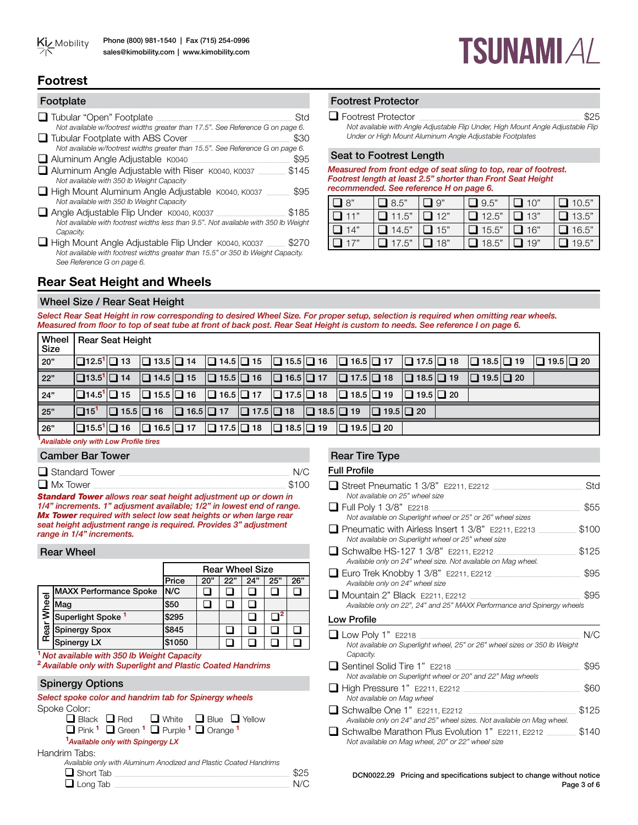

# **TSUNAMI A/**

# **Footrest**

| Footplate                                                                                                                                                             |       |
|-----------------------------------------------------------------------------------------------------------------------------------------------------------------------|-------|
| □ Tubular "Open" Footplate                                                                                                                                            | Std   |
| Not available w/footrest widths greater than 17.5". See Reference G on page 6.<br>$\Box$ Tubular Footplate with ABS Cover                                             | \$30  |
| Not available w/footrest widths greater than 15.5". See Reference G on page 6.                                                                                        | \$95  |
| Aluminum Angle Adjustable K0040<br>Aluminum Angle Adjustable with Riser K0040, K0037                                                                                  | \$145 |
| Not available with 350 lb Weight Capacity                                                                                                                             |       |
| □ High Mount Aluminum Angle Adjustable K0040, K0037<br>Not available with 350 lb Weight Capacity                                                                      | \$95  |
| Angle Adjustable Flip Under K0040, K0037                                                                                                                              | \$185 |
| Not available with footrest widths less than 9.5". Not available with 350 lb Weight<br>Capacity.                                                                      |       |
| High Mount Angle Adjustable Flip Under K0040, K0037<br>Not available with footrest widths greater than 15.5" or 350 lb Weight Capacity.<br>See Reference G on page 6. |       |

# Footrest Protector

#### q Footrest Protector \_\_\_\_\_\_\_\_\_\_\_\_\_\_\_\_\_\_\_\_\_\_\_\_\_\_\_\_\_\_\_\_\_\_\_\_\_\_\_\_\_\_\_\_\_\_\_\_\_\_\_\_\_\_\_\_\_\_\_\_\_\_\_\_\_\_\_\_\_\_\_\_\_\_\_\_\_ \$25

*Not available with Angle Adjustable Flip Under, High Mount Angle Adjustable Flip Under or High Mount Aluminum Angle Adjustable Footplates* 

#### Seat to Footrest Length

*Measured from front edge of seat sling to top, rear of footrest. Footrest length at least 2.5" shorter than Front Seat Height recommended. See reference H on page 6.* 

| $\Box$ 8"  | $\Box$ 8.5"  | $\Box$ 9"  | $\Box$ 9.5"  | $\Box$ 10" | $\Box$ 10.5" |
|------------|--------------|------------|--------------|------------|--------------|
| $\Box$ 11" | $\Box$ 11.5" | $\Box$ 12" | $\Box$ 12.5" | $\Box$ 13" | $\Box$ 13.5" |
| $\Box$ 14" | $\Box$ 14.5" | $\Box$ 15" | $\Box$ 15.5" | $\Box$ 16" | $\Box$ 16.5" |
| $\Box$ 17" | $\Box$ 17.5" | $\Box$ 18" | $\Box$ 18.5" | $\Box$ 19" | $\Box$ 19.5" |

# **Rear Seat Height and Wheels**

#### Wheel Size / Rear Seat Height

*Select Rear Seat Height in row corresponding to desired Wheel Size. For proper setup, selection is required when omitting rear wheels. Measured from floor to top of seat tube at front of back post. Rear Seat Height is custom to needs. See reference I on page 6.* 

| Wheel<br>  Size  |                        | <b>Rear Seat Height</b> |                                                                                                                                       |  |  |                                                                                                                                                                                                                                             |  |                       |                       |
|------------------|------------------------|-------------------------|---------------------------------------------------------------------------------------------------------------------------------------|--|--|---------------------------------------------------------------------------------------------------------------------------------------------------------------------------------------------------------------------------------------------|--|-----------------------|-----------------------|
| 20"              |                        |                         | $\Box$ 12.5 <sup>1</sup> $\Box$ 13 $\Box$ 13.5 $\Box$ 14                                                                              |  |  | $\Box$ 14.5 $\Box$ 15 $\Box$ 15.5 $\Box$ 16 $\Box$ 16.5 $\Box$ 17 $\Box$ 17.5 $\Box$ 18                                                                                                                                                     |  | $\Box$ 18.5 $\Box$ 19 | $\Box$ 19.5 $\Box$ 20 |
| $\overline{22"}$ |                        |                         |                                                                                                                                       |  |  | $\boxed{\Box}13.5^1\boxed{\Box}14$ $\boxed{\Box}14.5\boxed{\Box}15$ $\boxed{\Box}16.5\boxed{\Box}16$ $\boxed{\Box}16.5\boxed{\Box}17$ $\boxed{\Box}17.5\boxed{\Box}18$ $\boxed{\Box}18.5\boxed{\Box}19$                                     |  | $\Box$ 19.5 $\Box$ 20 |                       |
| 24"              |                        |                         |                                                                                                                                       |  |  | $\boxed{\square}14.5^1\boxed{\square}15$ $\boxed{\square}15.5\boxed{\square}16$ $\boxed{\square}16.5\boxed{\square}17$ $\boxed{\square}17.5\boxed{\square}18$ $\boxed{\square}18.5\boxed{\square}19$ $\boxed{\square}19.5\boxed{\square}20$ |  |                       |                       |
| $\boxed{25"}$    | $\Box$ 15 <sup>1</sup> |                         |                                                                                                                                       |  |  | $\Box$ 15.5 $\Box$ 16 $\Box$ 16.5 $\Box$ 17 $\Box$ 17.5 $\Box$ 18 $\Box$ 18.5 $\Box$ 19 $\Box$ 19.5 $\Box$ 20                                                                                                                               |  |                       |                       |
| 26"              |                        |                         | $\boxed{\Box}15.5^1\boxed{\Box}16$ $\boxed{\Box}16.5\boxed{\Box}17$ $\boxed{\Box}17.5\boxed{\Box}18$ $\boxed{\Box}18.5\boxed{\Box}19$ |  |  | $\Box$ 19.5 $\Box$ 20                                                                                                                                                                                                                       |  |                       |                       |

**1** *Available only with Low Profile tires*

#### Camber Bar Tower

| $\Box$ Standard Tower | $N/\zeta$ |
|-----------------------|-----------|
| $\Box$ Mx Tower       | \$100     |

*Standard Tower allows rear seat height adjustment up or down in 1/4" increments. 1" adjusment available; 1/2" in lowest end of range. Mx Tower required with select low seat heights or when large rear seat height adjustment range is required. Provides 3" adjustment range in 1/4" increments.*

#### Rear Wheel

|       |                               | <b>Rear Wheel Size</b> |     |     |     |     |     |  |  |
|-------|-------------------------------|------------------------|-----|-----|-----|-----|-----|--|--|
|       |                               | Price                  | 20" | 22" | 24" | 25" | 26" |  |  |
|       | <b>MAXX Performance Spoke</b> | IN/C                   |     |     |     |     |     |  |  |
| wheel | Mag                           | \$50                   |     |     |     |     |     |  |  |
|       | Superlight Spoke <sup>1</sup> | \$295                  |     |     |     |     |     |  |  |
| Rear  | Spinergy Spox                 | \$845                  |     |     |     |     |     |  |  |
|       | Spinergy LX                   | \$1050                 |     |     |     |     |     |  |  |

**<sup>1</sup>***Not available with 350 lb Weight Capacity* **<sup>2</sup>***Available only with Superlight and Plastic Coated Handrims*

#### Spinergy Options

| Select spoke color and handrim tab for Spinergy wheels |                                                                |  |  |
|--------------------------------------------------------|----------------------------------------------------------------|--|--|
| Spoke Color:                                           |                                                                |  |  |
|                                                        | $\Box$ Black $\Box$ Red $\Box$ White $\Box$ Blue $\Box$ Yellow |  |  |
|                                                        | $\Box$ Digit $1 \Box$ Cream $1 \Box$ Digital $1 \Box$ Orange 1 |  |  |

q Pink **<sup>1</sup>** q Green **<sup>1</sup>** q Purple **<sup>1</sup>** q Orange **<sup>1</sup>**

# **1** *Available only with Spingergy LX*

Handrim Tabs:

*Available only with Aluminum Anodized and Plastic Coated Handrims*

| $\Box$ Short Tab | \$25 |
|------------------|------|
| $\Box$ Long Tab  |      |

#### Rear Tire Type

| <b>Full Profile</b> |
|---------------------|
|                     |

| □ Street Pneumatic 1 3/8" E2211, E2212                                                                          | Std   |
|-----------------------------------------------------------------------------------------------------------------|-------|
| Not available on 25" wheel size                                                                                 |       |
| $\Box$ Full Poly 1 3/8" E2218                                                                                   | \$55  |
| Not available on Superlight wheel or 25" or 26" wheel sizes                                                     |       |
| $\Box$ Pneumatic with Airless Insert 1 3/8" E2211, E2213<br>Not available on Superlight wheel or 25" wheel size | \$100 |
| Schwalbe HS-127 1 3/8" E2211, E2212                                                                             | \$125 |
| Available only on 24" wheel size. Not available on Mag wheel.                                                   |       |
| $\Box$ Euro Trek Knobby 1 3/8" E2211, E2212                                                                     | \$95  |
| Available only on 24" wheel size                                                                                |       |
| $\Box$ Mountain 2" Black E2211, E2212                                                                           | \$95  |
| Available only on 22", 24" and 25" MAXX Performance and Spinergy wheels                                         |       |
| Low Profile                                                                                                     |       |
| $\Box$ Low Poly 1" E2218                                                                                        | N/C   |
| Not available on Superlight wheel, 25" or 26" wheel sizes or 350 lb Weight<br>Capacity.                         |       |
| □ Sentinel Solid Tire 1" E2218                                                                                  | \$95  |
| Not available on Superlight wheel or 20" and 22" Mag wheels                                                     |       |
| $\Box$ High Pressure 1" E2211, E2212                                                                            | \$60  |
| Not available on Mag wheel                                                                                      |       |
| Schwalbe One 1" E2211, E2212                                                                                    | \$125 |
| Available only on 24" and 25" wheel sizes. Not available on Mag wheel.                                          |       |
| □ Schwalbe Marathon Plus Evolution 1" E2211, E2212                                                              | \$140 |
| Not available on Mag wheel, 20" or 22" wheel size                                                               |       |

DCN0022.29 Pricing and specifications subject to change without notice Page 3 of 6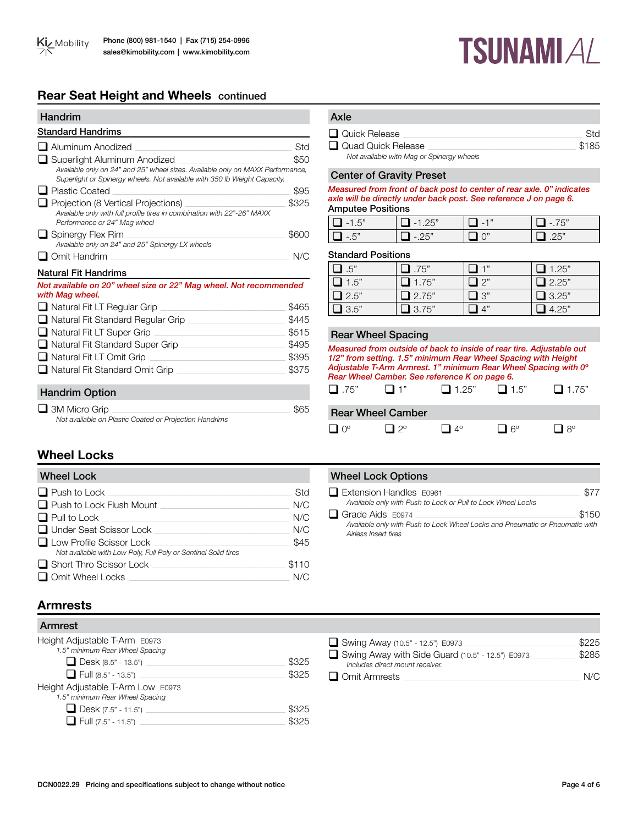# **Rear Seat Height and Wheels** continued

| Handrim                                                                                                                                                     |       |
|-------------------------------------------------------------------------------------------------------------------------------------------------------------|-------|
| <b>Standard Handrims</b>                                                                                                                                    |       |
| ⊿ Aluminum Anodized                                                                                                                                         | Std   |
| Superlight Aluminum Anodized                                                                                                                                | \$50  |
| Available only on 24" and 25" wheel sizes. Available only on MAXX Performance,<br>Superlight or Spinergy wheels. Not available with 350 lb Weight Capacity. |       |
| l Plastic Coated                                                                                                                                            | \$95  |
| Projection (8 Vertical Projections)                                                                                                                         | \$325 |
| Available only with full profile tires in combination with 22"-26" MAXX<br>Performance or 24" Mag wheel                                                     |       |
| $\Box$ Spinergy Flex Rim                                                                                                                                    | \$600 |
| Available only on 24" and 25" Spinergy LX wheels                                                                                                            |       |
| $\Box$ Omit Handrim                                                                                                                                         | N/C   |
| <b>Natural Fit Handrims</b>                                                                                                                                 |       |
| Not available on 20" wheel size or 22" Mag wheel. Not recommended<br>with Mag wheel.                                                                        |       |
| $\Box$ Natural Fit LT Regular Grip                                                                                                                          | \$465 |
| $\Box$ Natural Fit Standard Regular Grip                                                                                                                    | \$445 |
| $\Box$ Natural Fit LT Super Grip                                                                                                                            | \$515 |
| ■ Natural Fit Standard Super Grip                                                                                                                           | \$495 |
| $\Box$ Natural Fit LT Omit Grip<br><u> 1980 - Jan Barbara Barat, manazarta </u>                                                                             | \$395 |
| □ Natural Fit Standard Omit Grip                                                                                                                            | \$375 |
| <b>Handrim Option</b>                                                                                                                                       |       |

**TSUNAMIAL** 

| Axle                                      |       |
|-------------------------------------------|-------|
| $\Box$ Quick Release                      | Std.  |
| Quad Quick Release                        | \$185 |
| Not available with Mag or Spinergy wheels |       |

# Center of Gravity Preset

*Measured from front of back post to center of rear axle. 0" indicates axle will be directly under back post. See reference J on page 6.* Amputee Positions

| l l<br>$1 - 15$ | $E^{\prime\prime}$ | $\Gamma$ |
|-----------------|--------------------|----------|
| $-5"$           | つに"                | JF''     |

### Standard Positions

| .5"         | $\mathbf{l}$ .75"  | $-1$         | $\mathbf{1}$ 1.25" |
|-------------|--------------------|--------------|--------------------|
| $\Box$ 1.5" | 1.75"              | T 2"         | $\Box$ 2.25"       |
| $\Box$ 2.5" | $\mathbf{L}$ 2.75" | $\square$ 3" | $\Box$ 3.25"       |
| $\Box$ 3.5" | 3.75"              |              | 4.25"              |

## Rear Wheel Spacing

| Measured from outside of back to inside of rear tire. Adjustable out<br>1/2" from setting. 1.5" minimum Rear Wheel Spacing with Height<br>Adjustable T-Arm Armrest. 1" minimum Rear Wheel Spacing with 0°<br>Rear Wheel Camber. See reference K on page 6. |           |                          |  |              |
|------------------------------------------------------------------------------------------------------------------------------------------------------------------------------------------------------------------------------------------------------------|-----------|--------------------------|--|--------------|
| $\Box$ .75"                                                                                                                                                                                                                                                | $\Box$ 1" | $\Box$ 1.25" $\Box$ 1.5" |  | $\Box$ 1.75" |
| <b>Rear Wheel Camber</b>                                                                                                                                                                                                                                   |           |                          |  |              |
|                                                                                                                                                                                                                                                            |           | $\Lambda^{\circ}$        |  |              |

# **Wheel Locks**

| <b>Wheel Lock</b>                                              |       |
|----------------------------------------------------------------|-------|
| $\Box$ Push to Lock                                            | Std   |
| $\Box$ Push to Lock Flush Mount                                | N/C   |
| $\Box$ Pull to Lock                                            | N/C   |
| $\Box$ Under Seat Scissor Lock                                 | N/C   |
| $\Box$ Low Profile Scissor Lock                                | \$45  |
| Not available with Low Poly, Full Poly or Sentinel Solid tires |       |
| $\Box$ Short Thro Scissor Lock                                 | \$110 |
| $\Box$ Omit Wheel Locks                                        |       |

q 3M Micro Grip \_\_\_\_\_\_\_\_\_\_\_\_\_\_\_\_\_\_\_\_\_\_\_\_\_\_\_\_\_\_\_\_\_\_\_\_\_\_\_\_\_\_\_\_\_\_\_\_\_\_\_\_\_\_\_\_\_\_\_\_\_\_\_\_\_\_\_\_\_\_\_\_\_\_\_\_\_\_\_\_\_\_\_\_\_ \$65

*Not available on Plastic Coated or Projection Handrims*

# **Wheel Lock Options**

| $\Box$ Extension Handles $E0961$                                             | \$77  |
|------------------------------------------------------------------------------|-------|
| Available only with Push to Lock or Pull to Lock Wheel Locks                 |       |
| $\Box$ Grade Aids E0974                                                      | \$150 |
| Available only with Push to Lock Wheel Locks and Pneumatic or Pneumatic with |       |
| Airless Insert tires                                                         |       |

# **Armrests**

| \$325 |
|-------|
| \$325 |
|       |
|       |
| \$325 |
| むつつに  |
|       |

| Swing Away (10.5" - 12.5") E0973                                                           | \$225 |
|--------------------------------------------------------------------------------------------|-------|
| $\Box$ Swing Away with Side Guard (10.5" - 12.5") E0973<br>Includes direct mount receiver. | \$285 |
| $\Box$ Omit Armrests                                                                       | N/C   |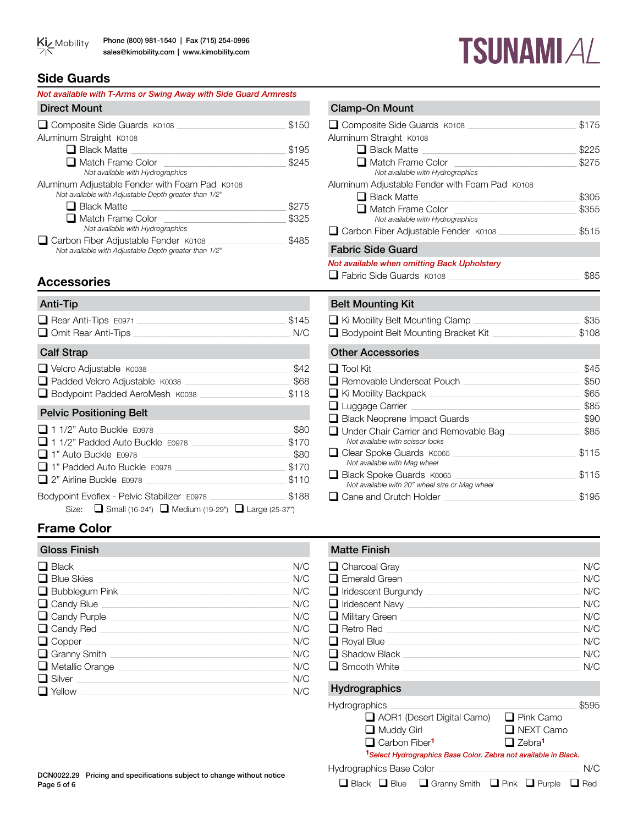# **TSUNAMIAL**

# **Side Guards**

| Not available with T-Arms or Swing Away with Side Guard Armrests                                        |       |
|---------------------------------------------------------------------------------------------------------|-------|
| <b>Direct Mount</b>                                                                                     |       |
| □ Composite Side Guards K0108                                                                           | \$150 |
| Aluminum Straight K0108                                                                                 |       |
| $\Box$ Black Matte                                                                                      | \$195 |
| ■ Match Frame Color                                                                                     | \$245 |
| Not available with Hydrographics                                                                        |       |
| Aluminum Adjustable Fender with Foam Pad K0108<br>Not available with Adjustable Depth greater than 1/2" |       |
| $\blacksquare$ Black Matte                                                                              | \$275 |
| ■ Match Frame Color                                                                                     | \$325 |
| Not available with Hydrographics                                                                        |       |
| Carbon Fiber Adjustable Fender K0108                                                                    | \$485 |
| Not available with Adjustable Depth greater than 1/2"                                                   |       |

# **Accessories**

| Anti-Tip                                                                                                                |                                         |
|-------------------------------------------------------------------------------------------------------------------------|-----------------------------------------|
| □ Omit Rear Anti-Tips N/C                                                                                               | \$145                                   |
| <b>Calf Strap</b>                                                                                                       |                                         |
| Velcro Adjustable K0038 Velcro Adjustable K0038<br>Bodypoint Padded AeroMesh K0038                                      | \$42<br>\$118                           |
| <b>Pelvic Positioning Belt</b>                                                                                          |                                         |
| 1 1/2" Auto Buckle E0978<br>1 1/2" Padded Auto Buckle E0978<br>1" Padded Auto Buckle E0978<br>2" Airline Buckle E0978   | \$80<br>\$170<br>\$80<br>\$170<br>\$110 |
| Bodypoint Evoflex - Pelvic Stabilizer E0978<br>Size: $\Box$ Small (16-24") $\Box$ Medium (19-29") $\Box$ Large (25-37") | \$188                                   |

# **Frame Color**

# Gloss Finish Matte Finish Matte Finish q Black \_\_\_\_\_\_\_\_\_\_\_\_\_\_\_\_\_\_\_\_\_\_\_\_\_\_\_\_\_\_\_\_\_\_\_\_\_\_\_\_\_\_\_\_\_\_\_\_\_\_\_\_\_\_\_\_\_\_\_\_\_\_\_\_\_\_\_\_\_\_\_\_\_\_\_\_\_\_\_\_\_\_\_\_\_\_\_\_\_\_\_\_\_\_\_\_\_\_\_\_\_\_ N/C q Blue Skies \_\_\_\_\_\_\_\_\_\_\_\_\_\_\_\_\_\_\_\_\_\_\_\_\_\_\_\_\_\_\_\_\_\_\_\_\_\_\_\_\_\_\_\_\_\_\_\_\_\_\_\_\_\_\_\_\_\_\_\_\_\_\_\_\_\_\_\_\_\_\_\_\_\_\_\_\_\_\_\_\_\_\_\_\_\_\_\_\_\_\_\_ N/C q Bubblegum Pink \_\_\_\_\_\_\_\_\_\_\_\_\_\_\_\_\_\_\_\_\_\_\_\_\_\_\_\_\_\_\_\_\_\_\_\_\_\_\_\_\_\_\_\_\_\_\_\_\_\_\_\_\_\_\_\_\_\_\_\_\_\_\_\_\_\_\_\_\_\_\_\_\_\_\_\_\_\_\_\_\_ N/C q Candy Blue \_\_\_\_\_\_\_\_\_\_\_\_\_\_\_\_\_\_\_\_\_\_\_\_\_\_\_\_\_\_\_\_\_\_\_\_\_\_\_\_\_\_\_\_\_\_\_\_\_\_\_\_\_\_\_\_\_\_\_\_\_\_\_\_\_\_\_\_\_\_\_\_\_\_\_\_\_\_\_\_\_\_\_\_\_\_\_\_\_\_ N/C q Candy Purple \_\_\_\_\_\_\_\_\_\_\_\_\_\_\_\_\_\_\_\_\_\_\_\_\_\_\_\_\_\_\_\_\_\_\_\_\_\_\_\_\_\_\_\_\_\_\_\_\_\_\_\_\_\_\_\_\_\_\_\_\_\_\_\_\_\_\_\_\_\_\_\_\_\_\_\_\_\_\_\_\_\_\_\_\_\_ N/C q Candy Red \_\_\_\_\_\_\_\_\_\_\_\_\_\_\_\_\_\_\_\_\_\_\_\_\_\_\_\_\_\_\_\_\_\_\_\_\_\_\_\_\_\_\_\_\_\_\_\_\_\_\_\_\_\_\_\_\_\_\_\_\_\_\_\_\_\_\_\_\_\_\_\_\_\_\_\_\_\_\_\_\_\_\_\_\_\_\_\_\_\_\_ N/C q Copper \_\_\_\_\_\_\_\_\_\_\_\_\_\_\_\_\_\_\_\_\_\_\_\_\_\_\_\_\_\_\_\_\_\_\_\_\_\_\_\_\_\_\_\_\_\_\_\_\_\_\_\_\_\_\_\_\_\_\_\_\_\_\_\_\_\_\_\_\_\_\_\_\_\_\_\_\_\_\_\_\_\_\_\_\_\_\_\_\_\_\_\_\_\_\_\_\_\_ N/C q Granny Smith \_\_\_\_\_\_\_\_\_\_\_\_\_\_\_\_\_\_\_\_\_\_\_\_\_\_\_\_\_\_\_\_\_\_\_\_\_\_\_\_\_\_\_\_\_\_\_\_\_\_\_\_\_\_\_\_\_\_\_\_\_\_\_\_\_\_\_\_\_\_\_\_\_\_\_\_\_\_\_\_\_\_\_\_\_\_ N/C  $\begin{array}{|c|c|c|c|}\hline \textbf{I} & \text{Metallic Orange} & \text{M/C} \\\hline \textbf{I} & \text{Silver} & \text{N/C} \\\hline \end{array}$ q Silver \_\_\_\_\_\_\_\_\_\_\_\_\_\_\_\_\_\_\_\_\_\_\_\_\_\_\_\_\_\_\_\_\_\_\_\_\_\_\_\_\_\_\_\_\_\_\_\_\_\_\_\_\_\_\_\_\_\_\_\_\_\_\_\_\_\_\_\_\_\_\_\_\_\_\_\_\_\_\_\_\_\_\_\_\_\_\_\_\_\_\_\_\_\_\_\_\_\_\_\_\_\_ N/C  $\Box$  Yellow \_

| $\Box$ Composite Side Guards $\overline{k}$ 0108                                                                                            | \$175 |
|---------------------------------------------------------------------------------------------------------------------------------------------|-------|
| Aluminum Straight K0108                                                                                                                     |       |
| $\Box$ Black Matte                                                                                                                          | \$225 |
| □ Match Frame Color                                                                                                                         | \$275 |
| Not available with Hydrographics                                                                                                            |       |
| Aluminum Adjustable Fender with Foam Pad K0108                                                                                              |       |
| $\Box$ Black Matte<br><u> 2007 - Jan Alexandria de Alexandria de la contrada de la contrada de la contrada de la contrada de la contrad</u> | \$305 |
| □ Match Frame Color                                                                                                                         | \$355 |
| Not available with Hydrographics                                                                                                            |       |
| Carbon Fiber Adjustable Fender K0108                                                                                                        | \$515 |
| <b>Fabric Side Guard</b>                                                                                                                    |       |
| Not available when omitting Back Upholstery                                                                                                 |       |
| $\Box$ Fabric Side Guards $\overline{k}$ 0108                                                                                               | \$85  |
|                                                                                                                                             |       |
| <b>Belt Mounting Kit</b>                                                                                                                    |       |
| $\Box$ Ki Mobility Belt Mounting Clamp                                                                                                      | \$35  |
| □ Bodypoint Belt Mounting Bracket Kit ■ Bodypoint Belt Mounting Bracket Kit                                                                 | \$108 |
| <b>Other Accessories</b>                                                                                                                    |       |
| $\Box$ Tool Kit                                                                                                                             | \$45  |
| Removable Underseat Pouch                                                                                                                   | \$50  |
| Ki Mobility Backpack <u>Communication</u> Communication Communication                                                                       | \$65  |
| $\Box$ Luggage Carrier<br>the control of the control of the control of                                                                      | \$85  |
| Black Neoprene Impact Guards<br>and the control of the control of                                                                           | \$90  |
| Under Chair Carrier and Removable Bag                                                                                                       | \$85  |
| Not available with scissor locks                                                                                                            |       |
| Clear Spoke Guards K0065                                                                                                                    | \$115 |
| Not available with Mag wheel                                                                                                                |       |
| Black Spoke Guards K0065                                                                                                                    | \$115 |
| Not available with 20" wheel size or Mag wheel                                                                                              |       |
| $\Box$ Cane and Crutch Holder                                                                                                               | \$195 |

| $\Box$ Charcoal Gray $\Box$   | N/C |
|-------------------------------|-----|
| $\Box$ Emerald Green          | N/C |
| $\Box$ Iridescent Burgundy    | N/C |
| $\Box$ Iridescent Navy $\Box$ | N/C |
| $\Box$ Military Green $\Box$  | N/C |
| $\Box$ Retro Red $\Box$       | N/C |
| $\Box$ Royal Blue             | N/C |
| $\Box$ Shadow Black           | N/C |
| $\Box$ Smooth White           | N/C |
|                               |     |

# Hydrographics

| <b>Hydrographics</b>                                                              | \$595                     |
|-----------------------------------------------------------------------------------|---------------------------|
| $\Box$ AOR1 (Desert Digital Camo)                                                 | $\Box$ Pink Camo          |
| $\Box$ Muddy Girl                                                                 | $\Box$ NEXT Camo          |
| Carbon Fiber <sup>1</sup>                                                         | $\Box$ Zebra <sup>1</sup> |
| <sup>1</sup> Select Hydrographics Base Color. Zebra not available in Black.       |                           |
| <b>Hydrographics Base Color</b>                                                   | N/C                       |
| $\Box$ Black $\Box$ Blue $\Box$ Granny Smith $\Box$ Pink $\Box$ Purple $\Box$ Red |                           |